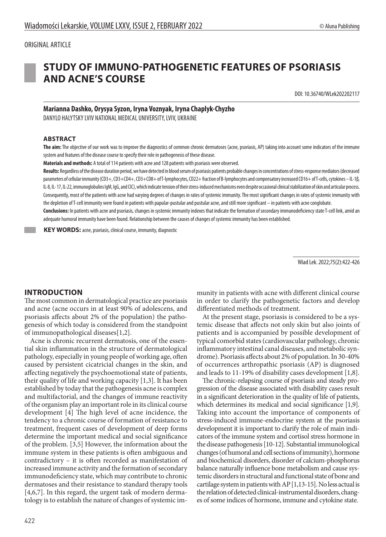### ORIGINAL ARTICLE



# **STUDY OF IMMUNO-PATHOGENETIC FEATURES OF PSORIASIS AND ACNE'S COURSE**

DOI: 10.36740/WLek202202117

# **Marianna Dashko, Orysya Syzon, Iryna Voznyak, Iryna Chaplyk-Chyzho**

DANYLO HALYTSKY LVIV NATIONAL MEDICAL UNIVERSITY, LVIV, UKRAINE

#### **ABSTRACT**

**The aim:** The objective of our work was to improve the diagnostics of common chronic dermatoses (acne, psoriasis, АР) taking into account some indicators of the immune system and features of the disease course to specify their role in pathogenesis of these disease.

**Materials and methods:** A total of 114 patients with acne and 128 patients with psoriasis were observed.

**Results:** Regardless of the disease duration period, we have detected in blood serum of psoriasis рatients probable changes in concentrations of stress-response mediators (decreased parameters of cellular immunity (CD3+, CD3+CD4+, CD3+CD8+ of T-lymphocytes, CD22+ fraction of B-lymphocytes and compensatory increased CD16+ of T-cells, cytokines – IL-1β, IL-8, IL-17, IL-22, immunoglobulins IgM, IgG, and CIC), which indicate tension of their stress-induced mechanisms even despite occasional clinical stabilization of skin and articular process. Consequently, most of the patients with acne had varying degrees of changes in rates of systemic immunity. The most significant changes in rates of systemic immunity with the depletion of T-cell immunity were found in patients with papular-pustular and pustular acne, and still more significant – in patients with acne conglobate.

**Conclusions:** In patients with acne and psoriasis, changes in systemic immunity indexes that indicate the formation of secondary immunodeficiency state T-cell link, amid an adequate humoral immunity have been found. Relationship between the causes of changes of systemic immunity has been established.

 **KEY WORDS:** acne, psoriasis, clinical course, immunity, diagnostic

Wiad Lek. 2022;75(2):422-426

## **INTRODUCTION**

The most common in dermatological practice are psoriasis and acne (acne occurs in at least 90% of adolescens, and psoriasis affects about 2% of the population) the pathogenesis of which today is considered from the standpoint of immunopathological diseases[1,2].

Acne is chronic recurrent dermatosis, one of the essential skin inflammation in the structure of dermatological pathology, especially in young people of working age, often caused by persistent cicatricial changes in the skin, and affecting negatively the psychoemotional state of patients, their quality of life and working capacity [1,3]. It has been established by today that the pathogenesis acne is complex and multifactorial, and the changes of immune reactivity of the organism play an important role in its clinical course development [4] The high level of acne incidence, the tendency to a chronic course of formation of resistance to treatment, frequent cases of development of deep forms determine the important medical and social significance of the problem. [3,5] However, the information about the immune system in these patients is often ambiguous and contradictory – it is often recorded as manifestation of increased immune activity and the formation of secondary immunodeficiency state, which may contribute to chronic dermatoses and their resistance to standard therapy tools [4,6,7]. In this regard, the urgent task of modern dermatology is to establish the nature of changes of systemic immunity in patients with acne with different clinical course in order to clarify the pathogenetic factors and develop differentiated methods of treatment.

At the present stage, psoriasis is considered to be a systemic disease that affects not only skin but also joints of patients and is accompanied by possible development of typical comorbid states (cardiovascular pathology, chronic inflammatory intestinal canal diseases, and metabolic syndrome). Psoriasis affects about 2% of population. In 30-40% of occurrences arthropathic psoriasis (AP) is diagnosed and leads to 11-19% of disability cases development [1,8].

The chronic-relapsing course of psoriasis and steady progression of the disease associated with disability cases result in a significant deterioration in the quality of life of patients, which determines its medical and social significance [1,9]. Taking into account the importance of components of stress-induced immune-endocrine system at the psoriasis development it is important to clarify the role of main indicators of the immune system and cortisol stress hormone in the disease pathogenesis [10-12]. Substantial immunological changes (of humoral and cell sections of immunity), hormone and biochemical disorders, disorder of calcium-phosphorus balance naturally influence bone metabolism and cause systemic disorders in structural and functional state of bone and cartilage system in patients with AP [1,13-15]. No less actual is the relation of detected clinical-instrumental disorders, changes of some indices of hormone, immune and cytokine state.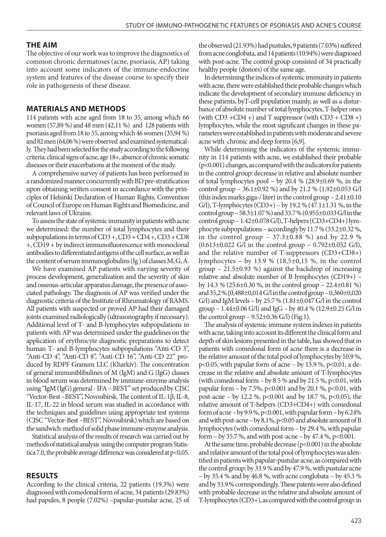#### **THE AIM**

The objective of our work was to improve the diagnostics of common chronic dermatoses (acne, psoriasis, АР) taking into account some indicators of the immune-endocrine system and features of the disease course to specify their role in pathogenesis of these disease.

#### **MATERIALS AND METHODS**

114 patients with acne aged from 18 to 35, among which 66 women (57,89 %) and 48 men (42,11 %) and 128 patients with psoriasis aged from 18 to 55, among which 46 women (35,94 %) and 82 men (64,06 %) were observed and examined systematically. They had been selected for the study according to the following criteria: clinical signs of acne, age 18+, absence of chronic somatic diseases or their exacerbations at the moment of the study.

A comprehensive survey of patients has been performed in a randomized manner concurrently with BD pre-stratification upon obtaining written consent in accordance with the principles of Helsinki Declaration of Human Rights, Convention of Council of Europe on Human Rights and Biomedicine, and relevant laws of Ukraine.

To assess the state of systemic immunity in patients with acne we determined: the number of total lymphocytes and their subpopulations in terms of  $CD3 +$ ,  $CD3 + CD4 +$ ,  $CD3 + CD8$ +, CD19 + by indirect immunofluorescence with monoclonal antibodies to differentiated antigens of the cell surface, as well as the content of serum immunoglobulins (Ig ) of classes M, G, A.

We have examined AP patients with varying severity of process development, generalization and the severity of skin and osseous-articular apparatus damage, the presence of associated pathology. The diagnosis of AP was verified under the diagnostic criteria of the Institute of Rheumatology of RAMS. All patients with suspected or proved AP had their damaged joints examined radiologically (ultrasonography if necessary). Additional level of Т- and В-lymphocytes subpopulations in patients with AP was determined under the guidelines on the application of erythrocyte diagnostic preparations to detect human T- and B-lymphocytes subpopulations "Anti-CD 3", "Anti-CD 4", "Anti-CD 8", "Anti-CD 16", "Anti-CD 22" produced by RDPF Granum LLC (Kharkiv). The concentration of general immuniblibulines of M (IgM) and G (IgG) classes in blood serum was determined by immune-enzyme analysis using "IgM (IgG) general - IFA – BEST" set produced by CJSC "Vector-Best –BEST", Novosibirsk. The content of IL-1β, IL-8, IL-17, IL-22 in blood serum was studied in accordance with the techniques and guidelines using appropriate test systems (CJSC "Vector-Best –BEST", Novosibirsk) which are based on the sandwich-method of solid phase immune-enzyme analysis.

Statistical analysis of the results of research was carried out by methods of statistical analysis using the computer program Statistica 7.0, the probable average difference was considered at  $p<0.05$ .

#### **RESULTS**

According to the clinical criteria, 22 patients (19.3%) were diagnosed with comedonal form of acne, 34 patients (29.83%) had papules, 8 people (7.02%) –papular-pustular acne, 25 of the observed (21.93%) had pustules, 9 patients (7.03%) suffered from acne conglobata, and 14 patients (10.94%) were diagnosed with post-acne. The control group consisted of 34 practically healthy people (donors) of the same age.

In determining the indices of systemic immunity in patients with acne, there were established their probable changes which indicate the development of secondary immune deficiency in these patients, byT-cell population mainly, as well as a disturbance of absolute number of total lymphocytes, T-helper ones (with  $CD3 + CD4 +$ ) and T suppressor (with  $CD3 + CD8 +$ ) lymphocytes, while the most significant changes in these parameters were established in patients with moderate and severe acne with chronic and deep forms [6,9].

While determining the indicators of the systemic immunity in 114 patients with acne, we established their probable (р<0.001) changes, as compared with the indicators for patients in the control group: decrease in relative and absolute number of total lymphocytes pool – by 20.4 % (28.9 $\pm$ 0.69 %, in the control group – 36.1±0.92 %) and by 21.2 % (1.92±0.053 G/l (this index marks giga-/ liter) in the control group – 2.41±0.10 G/l), T-lymphocytes  $(CD3+)$  – by 19.2 %  $(47.1 \pm 1.31$  %, in the control group – 58.3±1.07 %) and 33.7 % (0.955±0.033 G/l in the control group – 1.42±0.078 G/l), T-helpers (CD3+CD4+) lymphocyte subpopulations – accordingly by 11.7 % (33.2±0.32 %, in the control group – 37.3±0.88 %) and by 22.9 %  $(0.613\pm0.022 \text{ G/l} \text{ in the control group} - 0.792\pm0.052 \text{ G/l}),$ and the relative number of T-suppressors (CD3+CD8+) lymphocytes – by 13.9 %  $(18,5\pm0,15)$ %, in the control group – 21.5±0.93 %) against the backdrop of increasing relative and absolute number of B lymphocytes (CD19+) – by 14.3 % (25.6±0.30 %, in the control group – 22.4±0.81 %) and 35,2 % (0,488±0,014 G/l in the control group – 0,360±0,020 G/l) and IgM levels – by 25.7 %  $(1.81\pm0.047 \text{ G/l} \cdot \text{in} \cdot \text{the control})$ group – 1.44±0.06 G/l) and IgG – by 40.4 % (12.9±0.25 G/l in the control group  $-9.52\pm0.36$  G/l) (Fig.1).

The analysis of systemic immune system indexes in patients with acne, taking into account its different the clinical form and depth of skin lesions presented in the table, has showed that in patients with comedonal form of acne there is a decrease in the relative amount of the total pool of lymphocytes by 10.9 %,  $p<0.05$ , with papular form of acne – by 13.9 %,  $p<0.01$ , a decrease in the relative and absolute amount of T-lymphocytes (with comedonal form  $-$  by 8.5 % and by 21.5 %, p<0.01, with papular form – by 7.5%,  $p < 0.001$  and by 20.1 %,  $p < 0.01$ , with post-acne – by 12.2 %, p<0.001 and by 18.7 %, p<0.05), the relative amount of T-helpers (СD3+CD4+) with comedonal form of acne – by  $9.9\%$ , p<0.001, with papular form – by 6.24% and with post-acne – by 8,1%, p<0.05 and absolute amount of B lymphocytes (with comedonal form – by 29.4 %, with papular form – by 35.7 %, and with post-acne – by 47.4 %,  $p < 0.001$ .

At the same time, probable decrease (p<0.001) in the absolute and relative amount of the total pool of lymphocytes was identified in patients with papular-pustular acne, as compared with the control group: by 33.9 % and by 47.9 %, with pustular acne – by 35.4 % and by 46.8 %, with acne conglobata – by 45.3 % and by 33.9 % correspondingly. These patents were also defined with probable decrease in the relative and absolute amount of T-lymphocytes (CD3+), as compared with the control group: in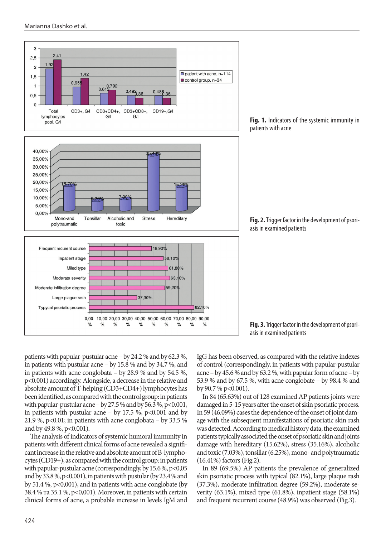

**Fig. 1.** Indicators of the systemic immunity in patients with acne



**Fig. 3.** Trigger factor in the development of psoriasis in examined patients

patients with papular-pustular acne – by 24.2 % and by 62.3 %, in patients with pustular acne – by 15.8 % and by 34.7 %, and in patients with acne conglobata – by 28.9 % and by 54.5 %, p<0.001) accordingly. Alongside, a decrease in the relative and absolute amount of T-helping (СD3+CD4+) lymphocytes has been identified, as compared with the control group: in patients with papular-pustular acne – by 27.5 % and by 56.3 %, p<0.001, in patients with pustular acne – by  $17.5\%$ , p<0.001 and by 21.9 %,  $p<0.01$ ; in patients with acne conglobata – by 33.5 % and by 49.8 %, p<0.001).

The analysis of indicators of systemic humoral immunity in patients with different clinical forms of acne revealed a significant increase in the relative and absolute amount of B-lymphocytes (CD19+), as compared with the control group: in patients with papular-pustular acne (correspondingly, by 15.6 %, p<0,05 and by 33.8 %, p<0,001), in patients with pustular (by 23.4 % and by 51.4 %, p<0,001), and in patients with acne conglobate (by 38.4 % та 35.1 %, p<0,001). Moreover, in patients with certain clinical forms of acne, a probable increase in levels IgM and IgG has been observed, as compared with the relative indexes of control (correspondingly, in patients with papular-pustular acne – by 45.6 % and by 63.2 %, with papular form of acne – by 53.9 % and by 67.5 %, with acne conglobate – by 98.4 % and by 90.7 % p<0.001).

In 84 (65.63%) out of 128 examined AP patients joints were damaged in 5-15 years after the onset of skin psoriatic process. In 59 (46.09%) cases the dependence of the onset of joint damage with the subsequent manifestations of psoriatic skin rash was detected. According to medical history data, the examined patients typically associated the onset of psoriatic skin and joints damage with hereditary (15.62%), stress (35.16%), alcoholic and toxic (7.03%), tonsillar (6.25%), mono- and polytraumatic (16.41%) factors (Fig.2).

In 89 (69.5%) AP patients the prevalence of generalized skin psoriatic process with typical (82.1%), large plaque rash (37.3%), moderate infiltration degree (59.2%), moderate severity (63.1%), mixed type (61.8%), inpatient stage (58.1%) and frequent recurrent course (48.9%) was observed (Fig.3).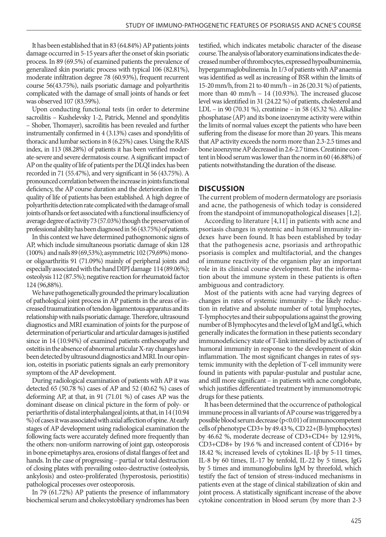It has been established that in 83 (64.84%) AP patients joints damage occurred in 5-15 years after the onset of skin psoriatic process. In 89 (69.5%) of examined patients the prevalence of generalized skin psoriatic process with typical 106 (82.81%), moderate infiltration degree 78 (60.93%), frequent recurrent course 56(43.75%), nails psoriatic damage and polyarthritis complicated with the damage of small joints of hands or feet was observed 107 (83.59%).

Upon conducting functional tests (in order to determine sacroilitis – Kushelevsky 1-2, Patrick, Mennel and spondylitis – Shober, Thomayer), sacroilitis has been revealed and further instrumentally confirmed in 4 (3.13%) cases and spondylitis of thoracic and lumbar sections in 8 (6.25%) cases. Using the RAIS index, in 113 (88.28%) of patients it has been verified moderate-severe and severe dermatosis course. A significant impact of AP on the quality of life of patients per the DLQI index has been recorded in 71 (55.47%), and very significant in 56 (43.75%). A pronounced correlation between the increase in joints functional deficiency, the AP course duration and the deterioration in the quality of life of patients has been established. A high degree of polyarthritis detection rate complicated with the damage of small joints of hands or feet associated with a functional insufficiency of average degree of activity 73 (57.03%) though the preservation of professional ability has been diagnosed in 56 (43.75%) of patients.

In this context we have determined pathognomonic signs of AP, which include simultaneous psoriatic damage of skin 128 (100%) and nails 89 (69,53%); asymmetric 102 (79,69%) monoor oligoarthritis 91 (71.09%) mainly of peripheral joints and especially associated with the hand DIPJ damage 114 (89.06%); osteolysis 112 (87.5%); negative reaction for rheumatoid factor 124 (96,88%).

We have pathogenetically grounded the primary localization of pathological joint process in AP patients in the areas of increased traumatization of tendon-ligamentous apparatus and its relationship with nails psoriatic damage. Therefore, ultrasound diagnostics and MRI examination of joints for the purpose of determination of periarticular and articular damages is justified since in 14 (10.94%) of examined patients enthesopathy and osteitis in the absence of abnormal articular X-ray changes have been detected by ultrasound diagnostics and MRI. In our opinion, osteitis in psoriatic patients signals an early premonitory symptom of the AP development.

During radiological examination of patients with AP it was detected 65 (50.78 %) cases of AP and 52 (40.62 %) cases of deforming AP, at that, in 91 (71.01 %) of cases AP was the dominant disease on clinical picture in the form of poly- or periarthritis of distal interphalangeal joints, at that, in 14 (10.94 %) of cases it was associated with axial affection of spine. At early stages of AP development using radiological examination the following facts were accurately defined more frequently than the others: non-uniform narrowing of joint gap, osteoporosis in bone epimetaphys area, erosions of distal flanges of feet and hands. In the case of progressing – partial or total destruction of closing plates with prevailing osteo-destructive (osteolysis, ankylosis) and osteo-proliferated (hyperostosis, periostitis) pathological processes over osteoporosis.

In 79 (61.72%) AP patients the presence of inflammatory biochemical serum and cholecystobiliary syndromes has been testified, which indicates metabolic character of the disease course. The analysis of laboratory examinations indicates the decreased number of thrombocytes, expressed hypoalbuminemia, hypergammaglobulinemia. In 1/3 of patients with AP anaemia was identified as well as increasing of BSR within the limits of 15-20 mm/h, from 21 to 40 mm/h – in 26 (20.31 %) of patients, more than 40 mm/h – 14 (10.93%). The increased glucose level was identified in 31 (24.22 %) of patients, cholesterol and LDL – in 90 (70.31 %), creatinine – in 58 (45.32 %). Alkaline phosphatase (AP) and its bone izoenzyme activity were within the limits of normal values except the patients who have been suffering from the disease for more than 20 years. This means that AP activity exceeds the norm more than 2.3-2.5 times and bone izoenzyme AP decreased in 2.6-2.7 times. Creatinine content in blood serum was lower than the norm in 60 (46.88%) of patients notwithstanding the duration of the disease.

## **DISCUSSION**

The current problem of modern dermatology are psoriasis and acne, the pathogenesis of which today is considered from the standpoint of immunopathological diseases [1,2].

According to literature [4,11] in patients with acne and psoriasis changes in systemic and humoral immunity indexes have been found. It has been established by today that the pathogenesis acne, psoriasis and arthropathic psoriasis is complex and multifactorial, and the changes of immune reactivity of the organism play an important role in its clinical course development. But the information about the immune system in these patients is often ambiguous and contradictory.

Most of the patients with acne had varying degrees of changes in rates of systemic immunity – the likely reduction in relative and absolute number of total lymphocytes, T-lymphocytes and their subpopulations against the growing number of B lymphocytes and the level of IgM and IgG, which generally indicates the formation in these patients secondary immunodeficiency state of T-link intensified by activation of humoral immunity in response to the development of skin inflammation. The most significant changes in rates of systemic immunity with the depletion of T-cell immunity were found in patients with papular-pustular and pustular acne, and still more significant – in patients with acne conglobate, which justifies differentiated treatment by immunomotropic drugs for these patients.

It has been determined that the occurrence of pathological immune process in all variants of AP course was triggered by a possible blood serum decrease (p<0.01) of immunocompetent cells of phenotype CD3+ by 49.43 %, CD 22+(В-lymphocytes) by 46.62 %, moderate decrease of CD3+CD4+ by 12.91%, CD3+CD8+ by 19.6 % and increased content of CD16+ by 18.42 %; increased levels of cytokines IL-1β by 5-11 times, IL-8 by 60 times, IL-17 by tenfold, IL-22 by 5 times, IgG by 5 times and immunoglobulins IgМ by threefold, which testify the fact of tension of stress-induced mechanisms in patients even at the stage of clinical stabilization of skin and joint process. A statistically significant increase of the above cytokine concentration in blood serum (by more than 2-3